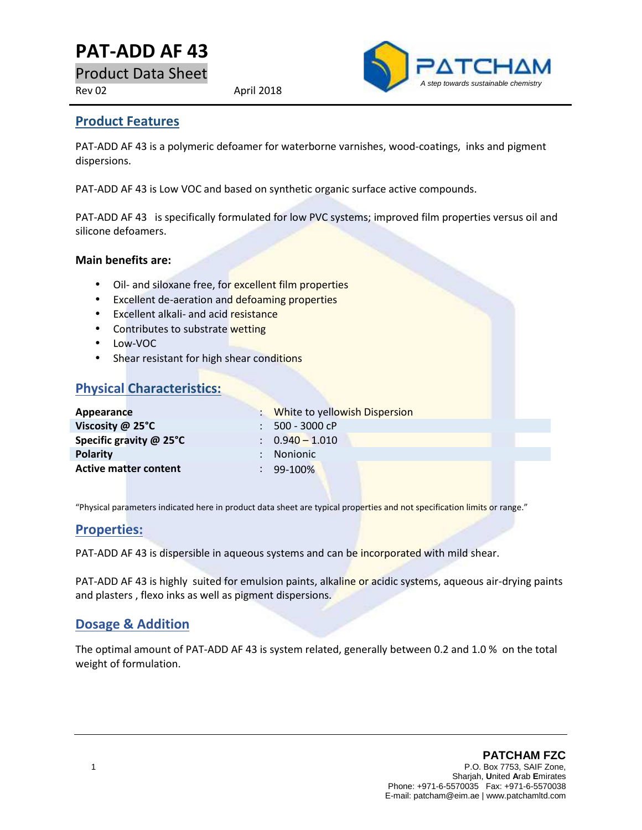# **PAT-ADD AF43**

Product Data Sheet

Rev 02 April 2018



#### **Product Features**

PAT-ADD AF 43 is a polymeric defoamer for waterborne varnishes, wood-coatings, inks and pigment dispersions.

PAT-ADD AF 43 is Low VOC and based on synthetic organic surface active compounds.

PAT-ADD AF 43 is specifically formulated for low PVC systems; improved film properties versus oil and silicone defoamers.

#### **Main benefits are:**

- Oil- and siloxane free, for excellent film properties
- **Excellent de-aeration and defoaming properties**
- **Excellent alkali- and acid resistance**
- Contributes to substrate wetting
- Low-VOC
- Shear resistant for high shear conditions

## **Physical Characteristics:**

| Appearance                   | : White to yellowish Dispersion |
|------------------------------|---------------------------------|
| Viscosity @ 25°C             | $: 500 - 3000$ cP               |
| Specific gravity @ 25°C      | $\therefore$ 0.940 - 1.010      |
| <b>Polarity</b>              | : Nonionic                      |
| <b>Active matter content</b> | $\therefore$ 99-100%            |

"Physical parameters indicated here in product data sheet are typical properties and not specification limits or range."

### **Properties:**

PAT-ADD AF 43 is dispersible in aqueous systems and can be incorporated with mild shear.

PAT-ADD AF 43 is highly suited for emulsion paints, alkaline or acidic systems, aqueous air-drying paints and plasters , flexo inks as well as pigment dispersions.

### **Dosage & Addition**

The optimal amount of PAT-ADD AF 43 is system related, generally between 0.2 and 1.0 % on the total weight of formulation.